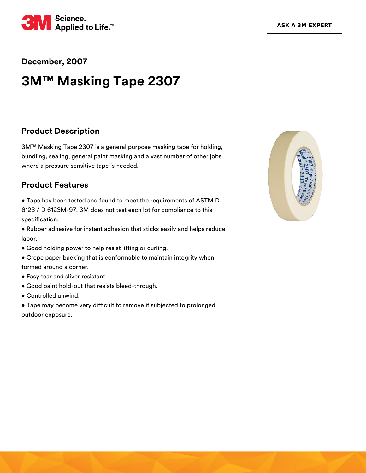

**December, 2007**

# **3M™ Masking Tape 2307**

#### **Product Description**

3M™ Masking Tape 2307 is a general purpose masking tape for holding, bundling, sealing, general paint masking and a vast number of other jobs where a pressure sensitive tape is needed.

## **Product Features**

• Tape has been tested and found to meet the requirements of ASTM D 6123 / D 6123M-97. 3M does not test each lot for compliance to this specification.

• Rubber adhesive for instant adhesion that sticks easily and helps reduce labor.

- Good holding power to help resist lifting or curling.
- Crepe paper backing that is conformable to maintain integrity when formed around a corner.
- Easy tear and sliver resistant
- Good paint hold-out that resists bleed-through.
- Controlled unwind.

• Tape may become very difficult to remove if subjected to prolonged outdoor exposure.

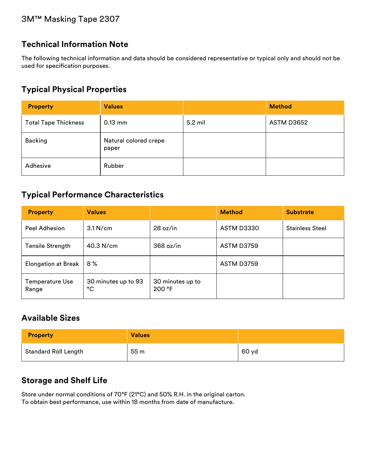# **Technical Information Note**

The following technical information and data should be considered representative or typical only and should not be used for specification purposes.

## **Typical Physical Properties**

| <b>Property</b>             | <b>Values</b>                  |         | <b>Method</b> |
|-----------------------------|--------------------------------|---------|---------------|
| <b>Total Tape Thickness</b> | $0.13$ mm                      | 5.2 mil | ASTM D3652    |
| <b>Backing</b>              | Natural colored crepe<br>paper |         |               |
| Adhesive                    | Rubber                         |         |               |

## **Typical Performance Characteristics**

| <b>Property</b>                 | <b>Values</b>             |                            | <b>Method</b>     | <b>Substrate</b>       |
|---------------------------------|---------------------------|----------------------------|-------------------|------------------------|
| Peel Adhesion                   | $3.1$ N/cm                | 28 oz/in                   | <b>ASTM D3330</b> | <b>Stainless Steel</b> |
| <b>Tensile Strength</b>         | $40.3$ N/cm               | 368 oz/in                  | ASTM D3759        |                        |
| <b>Elongation at Break</b>      | $8\%$                     |                            | ASTM D3759        |                        |
| <b>Temperature Use</b><br>Range | 30 minutes up to 93<br>°C | 30 minutes up to<br>200 °F |                   |                        |

# **Available Sizes**

| <b>Property</b>             | <b>Values</b> |       |
|-----------------------------|---------------|-------|
| <b>Standard Roll Length</b> | 55 m          | 60 yd |

#### **Storage and Shelf Life**

Store under normal conditions of 70°F (21°C) and 50% R.H. in the original carton. To obtain best performance, use within 18 months from date of manufacture.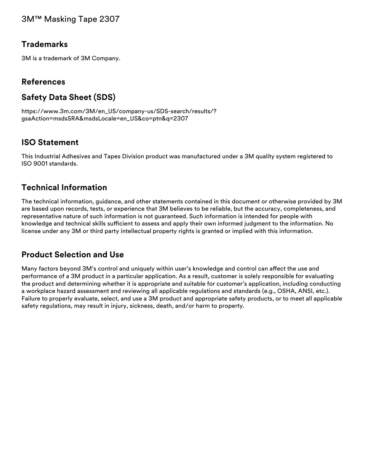#### **Trademarks**

3M is a trademark of 3M Company.

#### **References**

# **Safety Data Sheet (SDS)**

[https://www.3m.com/3M/en\\_US/company-us/SDS-search/results/?](https://www.3m.com/3M/en_US/company-us/SDS-search/results/?gsaAction=msdsSRA&msdsLocale=en_US&co=ptn&q=2307) gsaAction=msdsSRA&msdsLocale=en\_US&co=ptn&q=2307

#### **ISO Statement**

This Industrial Adhesives and Tapes Division product was manufactured under a 3M quality system registered to ISO 9001 standards.

#### **Technical Information**

The technical information, guidance, and other statements contained in this document or otherwise provided by 3M are based upon records, tests, or experience that 3M believes to be reliable, but the accuracy, completeness, and representative nature of such information is not guaranteed. Such information is intended for people with knowledge and technical skills sufficient to assess and apply their own informed judgment to the information. No license under any 3M or third party intellectual property rights is granted or implied with this information.

#### **Product Selection and Use**

Many factors beyond 3M's control and uniquely within user's knowledge and control can affect the use and performance of a 3M product in a particular application. As a result, customer is solely responsible for evaluating the product and determining whether it is appropriate and suitable for customer's application, including conducting a workplace hazard assessment and reviewing all applicable regulations and standards (e.g., OSHA, ANSI, etc.). Failure to properly evaluate, select, and use a 3M product and appropriate safety products, or to meet all applicable safety regulations, may result in injury, sickness, death, and/or harm to property.